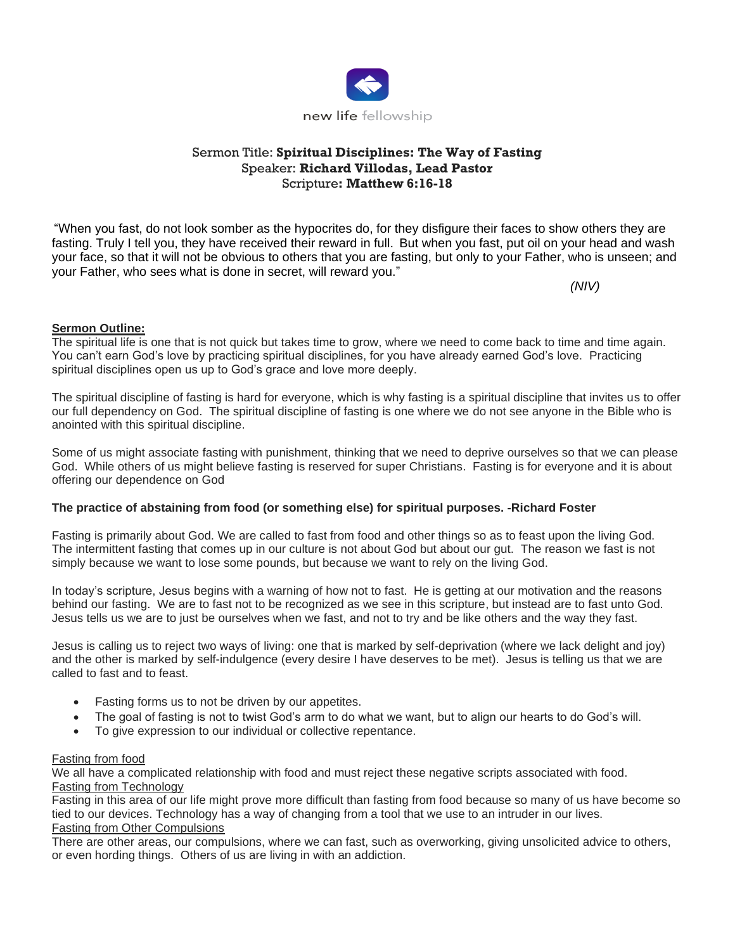

# Sermon Title: **Spiritual Disciplines: The Way of Fasting** Speaker: **Richard Villodas, Lead Pastor** Scripture**: Matthew 6:16-18**

"When you fast, do not look somber as the hypocrites do, for they disfigure their faces to show others they are fasting. Truly I tell you, they have received their reward in full. But when you fast, put oil on your head and wash your face, so that it will not be obvious to others that you are fasting, but only to your Father, who is unseen; and your Father, who sees what is done in secret, will reward you."

*(NIV)*

# **Sermon Outline:**

The spiritual life is one that is not quick but takes time to grow, where we need to come back to time and time again. You can't earn God's love by practicing spiritual disciplines, for you have already earned God's love. Practicing spiritual disciplines open us up to God's grace and love more deeply.

The spiritual discipline of fasting is hard for everyone, which is why fasting is a spiritual discipline that invites us to offer our full dependency on God. The spiritual discipline of fasting is one where we do not see anyone in the Bible who is anointed with this spiritual discipline.

Some of us might associate fasting with punishment, thinking that we need to deprive ourselves so that we can please God. While others of us might believe fasting is reserved for super Christians. Fasting is for everyone and it is about offering our dependence on God

# **The practice of abstaining from food (or something else) for spiritual purposes. -Richard Foster**

Fasting is primarily about God. We are called to fast from food and other things so as to feast upon the living God. The intermittent fasting that comes up in our culture is not about God but about our gut. The reason we fast is not simply because we want to lose some pounds, but because we want to rely on the living God.

In today's scripture, Jesus begins with a warning of how not to fast. He is getting at our motivation and the reasons behind our fasting. We are to fast not to be recognized as we see in this scripture, but instead are to fast unto God. Jesus tells us we are to just be ourselves when we fast, and not to try and be like others and the way they fast.

Jesus is calling us to reject two ways of living: one that is marked by self-deprivation (where we lack delight and joy) and the other is marked by self-indulgence (every desire I have deserves to be met). Jesus is telling us that we are called to fast and to feast.

- Fasting forms us to not be driven by our appetites.
- The goal of fasting is not to twist God's arm to do what we want, but to align our hearts to do God's will.
- To give expression to our individual or collective repentance.

#### Fasting from food

We all have a complicated relationship with food and must reject these negative scripts associated with food. Fasting from Technology

Fasting in this area of our life might prove more difficult than fasting from food because so many of us have become so tied to our devices. Technology has a way of changing from a tool that we use to an intruder in our lives. Fasting from Other Compulsions

There are other areas, our compulsions, where we can fast, such as overworking, giving unsolicited advice to others, or even hording things. Others of us are living in with an addiction.